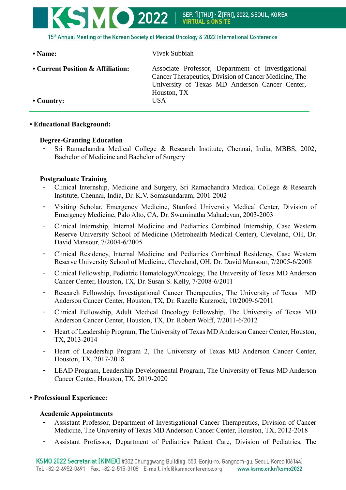

| • Name:                           | Vivek Subbiah                                                                                                                                                                |
|-----------------------------------|------------------------------------------------------------------------------------------------------------------------------------------------------------------------------|
| • Current Position & Affiliation: | Associate Professor, Department of Investigational<br>Cancer Therapeutics, Division of Cancer Medicine, The<br>University of Texas MD Anderson Cancer Center,<br>Houston, TX |
| $\cdot$ Country:                  | USA.                                                                                                                                                                         |

# **• Educational Background:**

### **Degree-Granting Education**

Sri Ramachandra Medical College & Research Institute, Chennai, India, MBBS, 2002, Bachelor of Medicine and Bachelor of Surgery

# **Postgraduate Training**

- Clinical Internship, Medicine and Surgery, Sri Ramachandra Medical College & Research Institute, Chennai, India, Dr. K.V. Somasundaram, 2001-2002
- Visiting Scholar, Emergency Medicine, Stanford University Medical Center, Division of Emergency Medicine, Palo Alto, CA, Dr. Swaminatha Mahadevan, 2003-2003
- Clinical Internship, Internal Medicine and Pediatrics Combined Internship, Case Western Reserve University School of Medicine (Metrohealth Medical Center), Cleveland, OH, Dr. David Mansour, 7/2004-6/2005
- Clinical Residency, Internal Medicine and Pediatrics Combined Residency, Case Western Reserve University School of Medicine, Cleveland, OH, Dr. David Mansour, 7/2005-6/2008
- Clinical Fellowship, Pediatric Hematology/Oncology, The University of Texas MD Anderson Cancer Center, Houston, TX, Dr. Susan S. Kelly, 7/2008-6/2011
- Research Fellowship, Investigational Cancer Therapeutics, The University of Texas MD Anderson Cancer Center, Houston, TX, Dr. Razelle Kurzrock, 10/2009-6/2011
- Clinical Fellowship, Adult Medical Oncology Fellowship, The University of Texas MD Anderson Cancer Center, Houston, TX, Dr. Robert Wolff, 7/2011-6/2012
- Heart of Leadership Program, The University of Texas MD Anderson Cancer Center, Houston, TX, 2013-2014
- Heart of Leadership Program 2, The University of Texas MD Anderson Cancer Center, Houston, TX, 2017-2018
- LEAD Program, Leadership Developmental Program, The University of Texas MD Anderson Cancer Center, Houston, TX, 2019-2020

# **• Professional Experience:**

#### **Academic Appointments**

- Assistant Professor, Department of Investigational Cancer Therapeutics, Division of Cancer Medicine, The University of Texas MD Anderson Cancer Center, Houston, TX, 2012-2018
- Assistant Professor, Department of Pediatrics Patient Care, Division of Pediatrics, The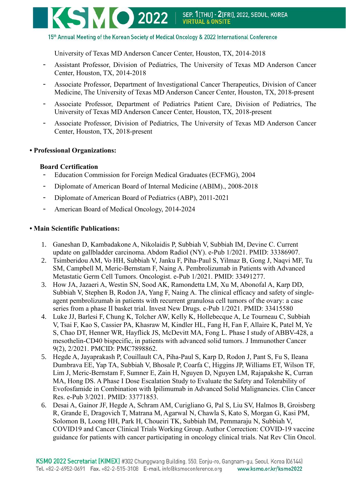#### 15th Annual Meeting of the Korean Society of Medical Oncology & 2022 International Conference

University of Texas MD Anderson Cancer Center, Houston, TX, 2014-2018

- Assistant Professor, Division of Pediatrics, The University of Texas MD Anderson Cancer Center, Houston, TX, 2014-2018
- Associate Professor, Department of Investigational Cancer Therapeutics, Division of Cancer Medicine, The University of Texas MD Anderson Cancer Center, Houston, TX, 2018-present
- Associate Professor, Department of Pediatrics Patient Care, Division of Pediatrics, The University of Texas MD Anderson Cancer Center, Houston, TX, 2018-present
- Associate Professor, Division of Pediatrics, The University of Texas MD Anderson Cancer Center, Houston, TX, 2018-present

#### **• Professional Organizations:**

#### **Board Certification**

- Education Commission for Foreign Medical Graduates (ECFMG), 2004
- Diplomate of American Board of Internal Medicine (ABIM)., 2008-2018
- Diplomate of American Board of Pediatrics (ABP), 2011-2021
- American Board of Medical Oncology, 2014-2024

### **• Main Scientific Publications:**

- 1. Ganeshan D, Kambadakone A, Nikolaidis P, Subbiah V, Subbiah IM, Devine C. Current update on gallbladder carcinoma. Abdom Radiol (NY). e-Pub 1/2021. PMID: 33386907.
- 2. Tsimberidou AM, Vo HH, Subbiah V, Janku F, Piha-Paul S, Yilmaz B, Gong J, Naqvi MF, Tu SM, Campbell M, Meric-Bernstam F, Naing A. Pembrolizumab in Patients with Advanced Metastatic Germ Cell Tumors. Oncologist. e-Pub 1/2021. PMID: 33491277.
- 3. How JA, Jazaeri A, Westin SN, Sood AK, Ramondetta LM, Xu M, Abonofal A, Karp DD, Subbiah V, Stephen B, Rodon JA, Yang F, Naing A. The clinical efficacy and safety of singleagent pembrolizumab in patients with recurrent granulosa cell tumors of the ovary: a case series from a phase II basket trial. Invest New Drugs. e-Pub 1/2021. PMID: 33415580
- 4. Luke JJ, Barlesi F, Chung K, Tolcher AW, Kelly K, Hollebecque A, Le Tourneau C, Subbiah V, Tsai F, Kao S, Cassier PA, Khasraw M, Kindler HL, Fang H, Fan F, Allaire K, Patel M, Ye S, Chao DT, Henner WR, Hayflick JS, McDevitt MA, Fong L. Phase I study of ABBV-428, a mesothelin-CD40 bispecific, in patients with advanced solid tumors. J Immunother Cancer 9(2), 2/2021. PMCID: PMC7898862.
- 5. Hegde A, Jayaprakash P, Couillault CA, Piha-Paul S, Karp D, Rodon J, Pant S, Fu S, Ileana Dumbrava EE, Yap TA, Subbiah V, Bhosale P, Coarfa C, Higgins JP, Williams ET, Wilson TF, Lim J, Meric-Bernstam F, Sumner E, Zain H, Nguyen D, Nguyen LM, Rajapakshe K, Curran MA, Hong DS. A Phase I Dose Escalation Study to Evaluate the Safety and Tolerability of Evofosfamide in Combination with Ipilimumab in Advanced Solid Malignancies. Clin Cancer Res. e-Pub 3/2021. PMID: 33771853.
- 6. Desai A, Gainor JF, Hegde A, Schram AM, Curigliano G, Pal S, Liu SV, Halmos B, Groisberg R, Grande E, Dragovich T, Matrana M, Agarwal N, Chawla S, Kato S, Morgan G, Kasi PM, Solomon B, Loong HH, Park H, Choueiri TK, Subbiah IM, Pemmaraju N, Subbiah V, COVID19 and Cancer Clinical Trials Working Group. Author Correction: COVID-19 vaccine guidance for patients with cancer participating in oncology clinical trials. Nat Rev Clin Oncol.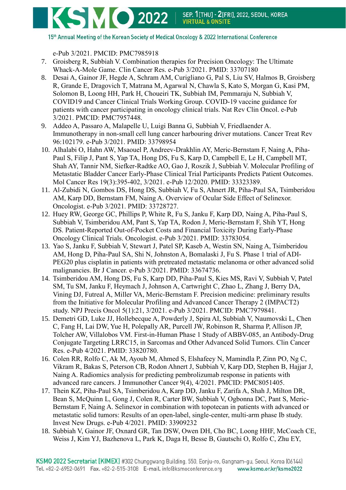

15th Annual Meeting of the Korean Society of Medical Oncology & 2022 International Conference

e-Pub 3/2021. PMCID: PMC7985918

- 7. Groisberg R, Subbiah V. Combination therapies for Precision Oncology: The Ultimate Whack-A-Mole Game. Clin Cancer Res. e-Pub 3/2021. PMID: 33707180
- 8. Desai A, Gainor JF, Hegde A, Schram AM, Curigliano G, Pal S, Liu SV, Halmos B, Groisberg R, Grande E, Dragovich T, Matrana M, Agarwal N, Chawla S, Kato S, Morgan G, Kasi PM, Solomon B, Loong HH, Park H, Choueiri TK, Subbiah IM, Pemmaraju N, Subbiah V, COVID19 and Cancer Clinical Trials Working Group. COVID-19 vaccine guidance for patients with cancer participating in oncology clinical trials. Nat Rev Clin Oncol. e-Pub 3/2021. PMCID: PMC7957448.
- 9. Addeo A, Passaro A, Malapelle U, Luigi Banna G, Subbiah V, Friedlaender A. Immunotherapy in non-small cell lung cancer harbouring driver mutations. Cancer Treat Rev 96:102179. e-Pub 3/2021. PMID: 33798954
- 10. Alhalabi O, Hahn AW, Msaouel P, Andreev-Drakhlin AY, Meric-Bernstam F, Naing A, Piha-Paul S, Filip J, Pant S, Yap TA, Hong DS, Fu S, Karp D, Campbell E, Le H, Campbell MT, Shah AY, Tannir NM, Siefker-Radtke AO, Gao J, Roszik J, Subbiah V. Molecular Profiling of Metastatic Bladder Cancer Early-Phase Clinical Trial Participants Predicts Patient Outcomes. Mol Cancer Res 19(3):395-402, 3/2021. e-Pub 12/2020. PMID: 33323389.
- 11. Al-Zubidi N, Gombos DS, Hong DS, Subbiah V, Fu S, Ahnert JR, Piha-Paul SA, Tsimberidou AM, Karp DD, Bernstam FM, Naing A. Overview of Ocular Side Effect of Selinexor. Oncologist. e-Pub 3/2021. PMID: 33728727.
- 12. Huey RW, George GC, Phillips P, White R, Fu S, Janku F, Karp DD, Naing A, Piha-Paul S, Subbiah V, Tsimberidou AM, Pant S, Yap TA, Rodon J, Meric-Bernstam F, Shih YT, Hong DS. Patient-Reported Out-of-Pocket Costs and Financial Toxicity During Early-Phase Oncology Clinical Trials. Oncologist. e-Pub 3/2021. PMID: 33783054.
- 13. Yao S, Janku F, Subbiah V, Stewart J, Patel SP, Kaseb A, Westin SN, Naing A, Tsimberidou AM, Hong D, Piha-Paul SA, Shi N, Johnston A, Bomalaski J, Fu S. Phase 1 trial of ADI-PEG20 plus cisplatin in patients with pretreated metastatic melanoma or other advanced solid malignancies. Br J Cancer. e-Pub 3/2021. PMID: 33674736.
- 14. Tsimberidou AM, Hong DS, Fu S, Karp DD, Piha-Paul S, Kies MS, Ravi V, Subbiah V, Patel SM, Tu SM, Janku F, Heymach J, Johnson A, Cartwright C, Zhao L, Zhang J, Berry DA, Vining DJ, Futreal A, Miller VA, Meric-Bernstam F. Precision medicine: preliminary results from the Initiative for Molecular Profiling and Advanced Cancer Therapy 2 (IMPACT2) study. NPJ Precis Oncol 5(1):21, 3/2021. e-Pub 3/2021. PMCID: PMC7979841.
- 15. Demetri GD, Luke JJ, Hollebecque A, Powderly J, Spira AI, Subbiah V, Naumovski L, Chen C, Fang H, Lai DW, Yue H, Polepally AR, Purcell JW, Robinson R, Sharma P, Allison JP, Tolcher AW, Villalobos VM. First-in-Human Phase 1 Study of ABBV-085, an Antibody-Drug Conjugate Targeting LRRC15, in Sarcomas and Other Advanced Solid Tumors. Clin Cancer Res. e-Pub 4/2021. PMID: 33820780.
- 16. Colen RR, Rolfo C, Ak M, Ayoub M, Ahmed S, Elshafeey N, Mamindla P, Zinn PO, Ng C, Vikram R, Bakas S, Peterson CB, Rodon Ahnert J, Subbiah V, Karp DD, Stephen B, Hajjar J, Naing A. Radiomics analysis for predicting pembrolizumab response in patients with advanced rare cancers. J Immunother Cancer 9(4), 4/2021. PMCID: PMC8051405.
- 17. Thein KZ, Piha-Paul SA, Tsimberidou A, Karp DD, Janku F, Zarifa A, Shah J, Milton DR, Bean S, McQuinn L, Gong J, Colen R, Carter BW, Subbiah V, Ogbonna DC, Pant S, Meric-Bernstam F, Naing A. Selinexor in combination with topotecan in patients with advanced or metastatic solid tumors: Results of an open-label, single-center, multi-arm phase Ib study. Invest New Drugs. e-Pub 4/2021. PMID: 33909232
- 18. Subbiah V, Gainor JF, Oxnard GR, Tan DSW, Owen DH, Cho BC, Loong HHF, McCoach CE, Weiss J, Kim YJ, Bazhenova L, Park K, Daga H, Besse B, Gautschi O, Rolfo C, Zhu EY,